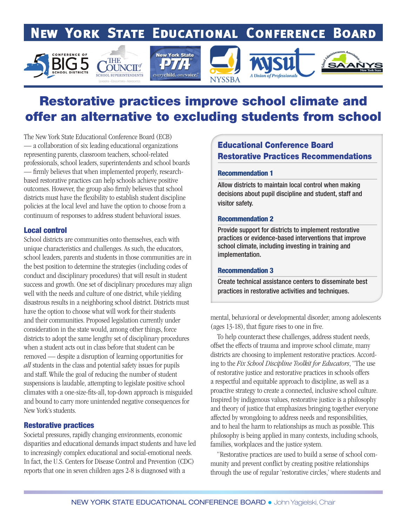# **NEW YORK STATE EDUCATIONAL CONFERENCE BOARD**





# Restorative practices improve school climate and offer an alternative to excluding students from school

The New York State Educational Conference Board (ECB) — a collaboration of six leading educational organizations representing parents, classroom teachers, school-related professionals, school leaders, superintendents and school boards — firmly believes that when implemented properly, researchbased restorative practices can help schools achieve positive outcomes. However, the group also firmly believes that school districts must have the flexibility to establish student discipline policies at the local level and have the option to choose from a continuum of responses to address student behavioral issues.

#### Local control

School districts are communities onto themselves, each with unique characteristics and challenges. As such, the educators, school leaders, parents and students in those communities are in the best position to determine the strategies (including codes of conduct and disciplinary procedures) that will result in student success and growth. One set of disciplinary procedures may align well with the needs and culture of one district, while yielding disastrous results in a neighboring school district. Districts must have the option to choose what will work for their students and their communities. Proposed legislation currently under consideration in the state would, among other things, force districts to adopt the same lengthy set of disciplinary procedures when a student acts out in class before that student can be removed — despite a disruption of learning opportunities for *all* students in the class and potential safety issues for pupils and staff. While the goal of reducing the number of student suspensions is laudable, attempting to legislate positive school climates with a one-size-fits-all, top-down approach is misguided and bound to carry more unintended negative consequences for New York's students.

#### Restorative practices

Societal pressures, rapidly changing environments, economic disparities and educational demands impact students and have led to increasingly complex educational and social-emotional needs. In fact, the U.S. Centers for Disease Control and Prevention (CDC) reports that one in seven children ages 2-8 is diagnosed with a

### Educational Conference Board Restorative Practices Recommendations

#### Recommendation 1

Allow districts to maintain local control when making decisions about pupil discipline and student, staff and visitor safety.

#### Recommendation 2

Provide support for districts to implement restorative practices or evidence-based interventions that improve school climate, including investing in training and implementation.

#### Recommendation 3

Create technical assistance centers to disseminate best practices in restorative activities and techniques.

mental, behavioral or developmental disorder; among adolescents (ages 13-18), that figure rises to one in five.

 To help counteract these challenges, address student needs, offset the effects of trauma and improve school climate, many districts are choosing to implement restorative practices. According to the *Fix School Discipline Toolkit for Educators*, "The use of restorative justice and restorative practices in schools offers a respectful and equitable approach to discipline, as well as a proactive strategy to create a connected, inclusive school culture. Inspired by indigenous values, restorative justice is a philosophy and theory of justice that emphasizes bringing together everyone affected by wrongdoing to address needs and responsibilities, and to heal the harm to relationships as much as possible. This philosophy is being applied in many contexts, including schools, families, workplaces and the justice system.

 "Restorative practices are used to build a sense of school community and prevent conflict by creating positive relationships through the use of regular 'restorative circles,' where students and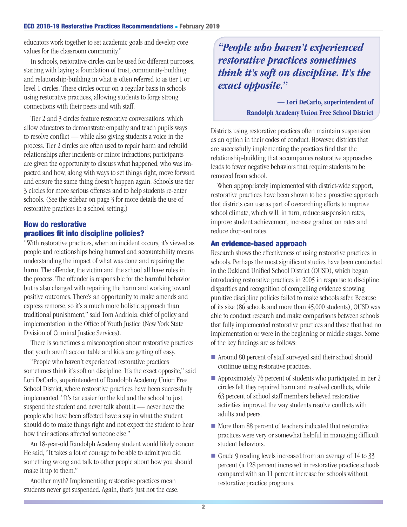educators work together to set academic goals and develop core values for the classroom community."

 In schools, restorative circles can be used for different purposes, starting with laying a foundation of trust, community-building and relationship-building in what is often referred to as tier 1 or level 1 circles. These circles occur on a regular basis in schools using restorative practices, allowing students to forge strong connections with their peers and with staff.

 Tier 2 and 3 circles feature restorative conversations, which allow educators to demonstrate empathy and teach pupils ways to resolve conflict — while also giving students a voice in the process. Tier 2 circles are often used to repair harm and rebuild relationships after incidents or minor infractions; participants are given the opportunity to discuss what happened, who was impacted and how, along with ways to set things right, move forward and ensure the same thing doesn't happen again. Schools use tier 3 circles for more serious offenses and to help students re-enter schools. (See the sidebar on page 3 for more details the use of restorative practices in a school setting.)

### How do restorative practices fit into discipline policies?

"With restorative practices, when an incident occurs, it's viewed as people and relationships being harmed and accountability means understanding the impact of what was done and repairing the harm. The offender, the victim and the school all have roles in the process. The offender is responsible for the harmful behavior but is also charged with repairing the harm and working toward positive outcomes. There's an opportunity to make amends and express remorse, so it's a much more holistic approach than traditional punishment," said Tom Andriola, chief of policy and implementation in the Office of Youth Justice (New York State Division of Criminal Justice Services).

 There is sometimes a misconception about restorative practices that youth aren't accountable and kids are getting off easy.

 "People who haven't experienced restorative practices sometimes think it's soft on discipline. It's the exact opposite," said Lori DeCarlo, superintendent of Randolph Academy Union Free School District, where restorative practices have been successfully implemented. "It's far easier for the kid and the school to just suspend the student and never talk about it — never have the people who have been affected have a say in what the student should do to make things right and not expect the student to hear how their actions affected someone else."

 An 18-year-old Randolph Academy student would likely concur. He said, "It takes a lot of courage to be able to admit you did something wrong and talk to other people about how you should make it up to them."

 Another myth? Implementing restorative practices mean students never get suspended. Again, that's just not the case.

*"People who haven't experienced restorative practices sometimes think it's soft on discipline. It's the exact opposite."* 

> — Lori DeCarlo, superintendent of Randolph Academy Union Free School District

Districts using restorative practices often maintain suspension as an option in their codes of conduct. However, districts that are successfully implementing the practices find that the relationship-building that accompanies restorative approaches leads to fewer negative behaviors that require students to be removed from school.

 When appropriately implemented with district-wide support, restorative practices have been shown to be a proactive approach that districts can use as part of overarching efforts to improve school climate, which will, in turn, reduce suspension rates, improve student achievement, increase graduation rates and reduce drop-out rates.

#### An evidence-based approach

Research shows the effectiveness of using restorative practices in schools. Perhaps the most significant studies have been conducted in the Oakland Unified School District (OUSD), which began introducing restorative practices in 2005 in response to discipline disparities and recognition of compelling evidence showing punitive discipline policies failed to make schools safer. Because of its size (86 schools and more than 45,000 students), OUSD was able to conduct research and make comparisons between schools that fully implemented restorative practices and those that had no implementation or were in the beginning or middle stages. Some of the key findings are as follows:

- Around 80 percent of staff surveyed said their school should continue using restorative practices.
- $\blacksquare$  Approximately 76 percent of students who participated in tier 2 circles felt they repaired harm and resolved conflicts, while 63 percent of school staff members believed restorative activities improved the way students resolve conflicts with adults and peers.
- $\blacksquare$  More than 88 percent of teachers indicated that restorative practices were very or somewhat helpful in managing difficult student behaviors.
- Grade 9 reading levels increased from an average of 14 to 33 percent (a 128 percent increase) in restorative practice schools compared with an 11 percent increase for schools without restorative practice programs.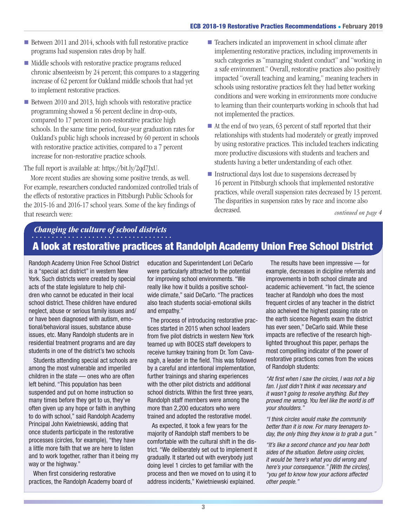- Between 2011 and 2014, schools with full restorative practice programs had suspension rates drop by half.
- $\blacksquare$  Middle schools with restorative practice programs reduced chronic absenteeism by 24 percent; this compares to a staggering increase of 62 percent for Oakland middle schools that had yet to implement restorative practices.
- Between 2010 and 2013, high schools with restorative practice programming showed a 56 percent decline in drop-outs, compared to 17 percent in non-restorative practice high schools. In the same time period, four-year graduation rates for Oakland's public high schools increased by 60 percent in schools with restorative practice activities, compared to a 7 percent increase for non-restorative practice schools.

The full report is available at: https://bit.ly/2qd7JxU.

 More recent studies are showing some positive trends, as well. For example, researchers conducted randomized controlled trials of the effects of restorative practices in Pittsburgh Public Schools for the 2015-16 and 2016-17 school years. Some of the key findings of that research were:

- Teachers indicated an improvement in school climate after implementing restorative practices, including improvements in such categories as "managing student conduct" and "working in a safe environment." Overall, restorative practices also positively impacted "overall teaching and learning," meaning teachers in schools using restorative practices felt they had better working conditions and were working in environments more conducive to learning than their counterparts working in schools that had not implemented the practices.
- $\blacksquare$  At the end of two years, 63 percent of staff reported that their relationships with students had moderately or greatly improved by using restorative practices. This included teachers indicating more productive discussions with students and teachers and students having a better understanding of each other.
- $\blacksquare$  Instructional days lost due to suspensions decreased by 16 percent in Pittsburgh schools that implemented restorative practices, while overall suspension rates decreased by 13 percent. The disparities in suspension rates by race and income also decreased. *continued on page 4*

## A look at restorative practices at Randolph Academy Union Free School District *Changing the culture of school districts*

Randoph Academy Union Free School District is a "special act district" in western New York. Such districts were created by special acts of the state legislature to help children who cannot be educated in their local school district. These children have endured neglect, abuse or serious family issues and/ or have been diagnosed with autism, emotional/behavioral issues, substance abuse issues, etc. Many Randolph students are in residential treatment programs and are day students in one of the district's two schools

 Students attending special act schools are among the most vulnerable and imperiled children in the state — ones who are often left behind. "This population has been suspended and put on home instruction so many times before they get to us, they've often given up any hope or faith in anything to do with school," said Randolph Academy Principal John Kwietniewski, adding that once students participate in the restorative processes (circles, for example), "they have a little more faith that we are here to listen and to work together, rather than it being my way or the highway."

 When first considering restorative practices, the Randolph Academy board of

education and Superintendent Lori DeCarlo were particularly attracted to the potential for improving school environments. "We really like how it builds a positive schoolwide climate," said DeCarlo. "The practices also teach students social-emotional skills and empathy."

 The process of introducing restorative practices started in 2015 when school leaders from five pilot districts in western New York teamed up with BOCES staff developers to receive turnkey training from Dr. Tom Cavanagh, a leader in the field. This was followed by a careful and intentional implementation, further trainings and sharing experiences with the other pilot districts and additional school districts. Within the first three years, Randolph staff members were among the more than 2,200 educators who were trained and adopted the restorative model.

 As expected, it took a few years for the majority of Randolph staff members to be comfortable with the cultural shift in the district. "We deliberately set out to implement it gradually. It started out with everybody just doing level 1 circles to get familiar with the process and then we moved on to using it to address incidents," Kwietniewski explained.

 The results have been impressive — for example, decreases in dicipline referrals and improvements in both school climate and academic achievement. "In fact, the science teacher at Randolph who does the most frequent circles of any teacher in the district also acheived the highest passing rate on the earth sicence Regents exam the district has ever seen," DeCarlo said. While these impacts are reflective of the research highlighted throughout this paper, perhaps the most compelling indicator of the power of restorative practices comes from the voices of Randolph students:

*"At first when I saw the circles, I was not a big fan. I just didn't think it was necessary and it wasn't going to resolve anything. But they proved me wrong. You feel like the world is off your shoulders."*

*"I think circles would make the community better than it is now. For many teenagers today, the only thing they know is to grab a gun."* 

*"It's like a second chance and you hear both sides of the situation. Before using circles, it would be 'here's what you did wrong and here's your consequence." [With the circles], "you get to know how your actions affected other people."*